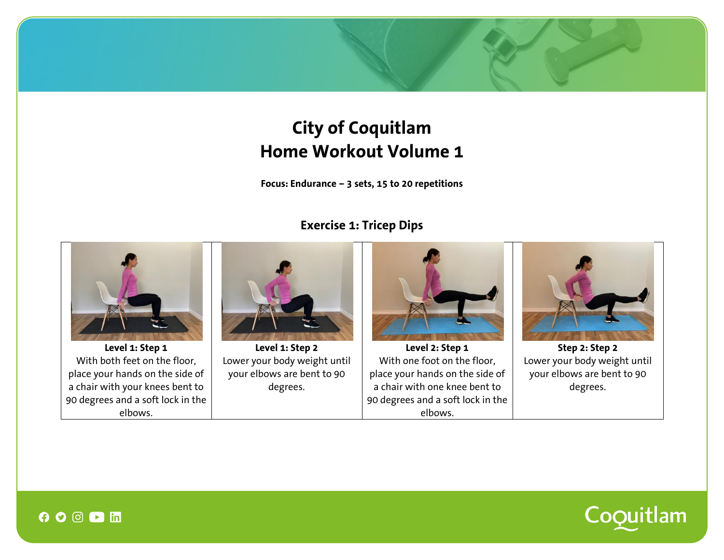# **City of Coquitlam Home Workout Volume 1**

**Focus: Endurance – 3 sets, 15 to 20 repetitions**

## **Exercise 1: Tricep Dips**





 $\boldsymbol{\Theta} \boldsymbol{\circ} \boldsymbol{\odot} \boldsymbol{\odot} \boldsymbol{\Sigma}$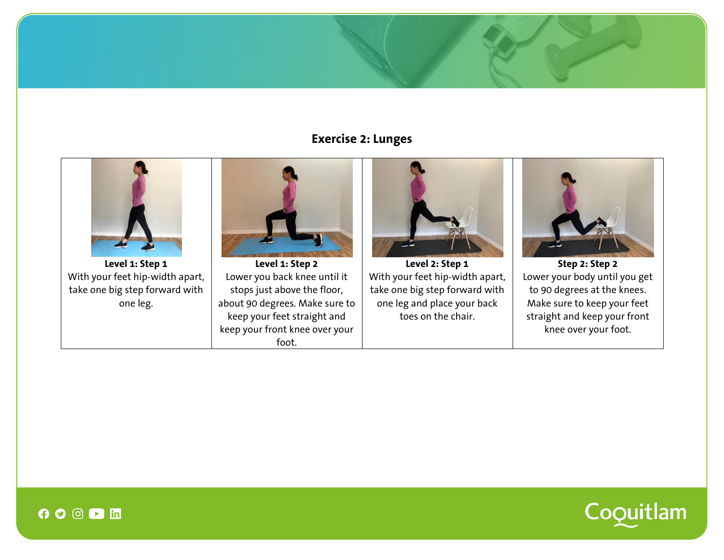## **Exercise 2: Lunges**





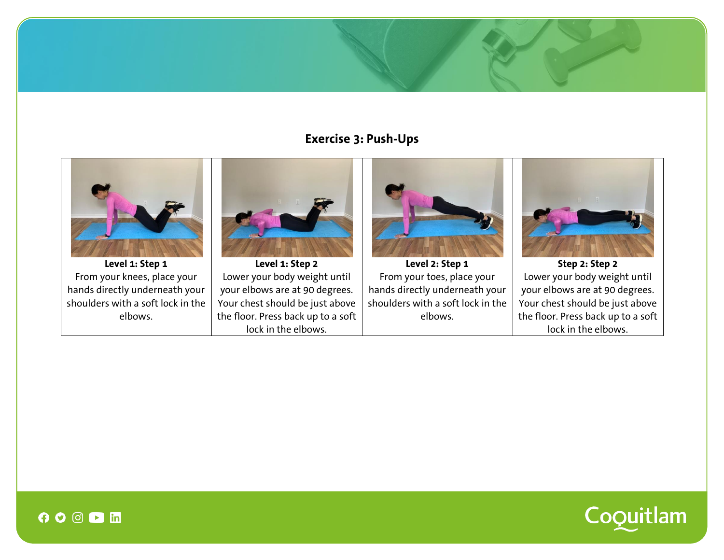#### **Exercise 3: Push-Ups**





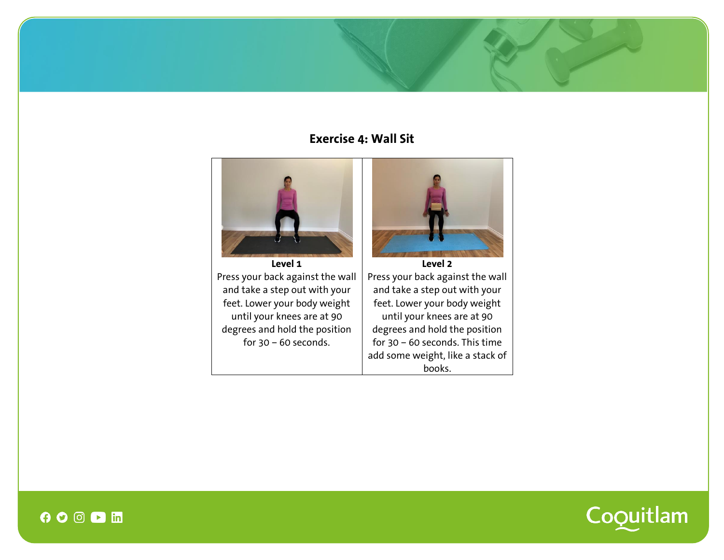### **Exercise 4: Wall Sit**



**Level 1** Press your back against the wall and take a step out with your feet. Lower your body weight until your knees are at 90 degrees and hold the position for  $30 - 60$  seconds.



Press your back against the wall and take a step out with your feet. Lower your body weight until your knees are at 90 degrees and hold the position for 30 – 60 seconds. This time add some weight, like a stack of books.



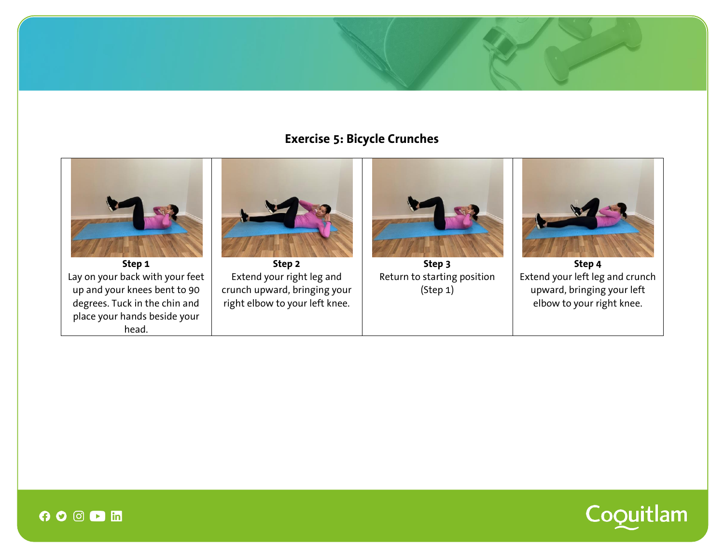## **Exercise 5: Bicycle Crunches**